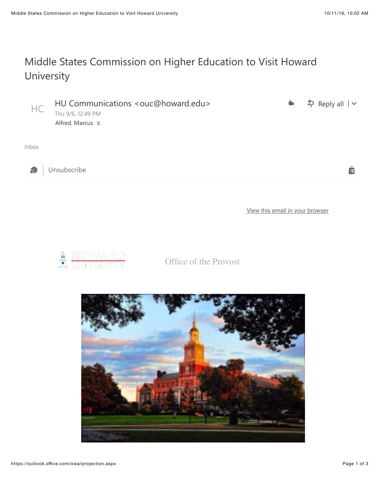## Middle States Commission on Higher Education to Visit Howard University

| HC          | HU Communications <ouc@howard.edu><br/>Thu 9/6, 12:49 PM</ouc@howard.edu> | $\bullet$ | $\frac{1}{2}$ Reply all $\sqrt{ }$ |
|-------------|---------------------------------------------------------------------------|-----------|------------------------------------|
|             | Alfred, Marcus $★$                                                        |           |                                    |
| Inbox<br>Ò. | Unsubscribe                                                               |           |                                    |

[View this email in your browser](https://mailchi.mp/55ce7cd2a5ae/middle-states-commission-on-higher-education-to-visit-howard-university-603009?e=0058eb68db)



Office of the Provost

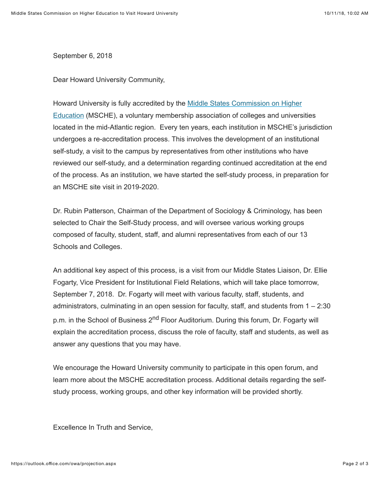September 6, 2018

Dear Howard University Community,

Howard University is fully accredited by the Middle States Commission on Higher [Education \(MSCHE\), a voluntary membership association of colleges and univers](https://howard.us3.list-manage.com/track/click?u=da96b3e11d604fc7332653c0e&id=930bde8197&e=0058eb68db)ities located in the mid-Atlantic region. Every ten years, each institution in MSCHE's jurisdiction undergoes a re-accreditation process. This involves the development of an institutional self-study, a visit to the campus by representatives from other institutions who have reviewed our self-study, and a determination regarding continued accreditation at the end of the process. As an institution, we have started the self-study process, in preparation for an MSCHE site visit in 2019-2020.

Dr. Rubin Patterson, Chairman of the Department of Sociology & Criminology, has been selected to Chair the Self-Study process, and will oversee various working groups composed of faculty, student, staff, and alumni representatives from each of our 13 Schools and Colleges.

An additional key aspect of this process, is a visit from our Middle States Liaison, Dr. Ellie Fogarty, Vice President for Institutional Field Relations, which will take place tomorrow, September 7, 2018. Dr. Fogarty will meet with various faculty, staff, students, and administrators, culminating in an open session for faculty, staff, and students from 1 – 2:30 p.m. in the School of Business 2<sup>nd</sup> Floor Auditorium. During this forum, Dr. Fogarty will explain the accreditation process, discuss the role of faculty, staff and students, as well as answer any questions that you may have.

We encourage the Howard University community to participate in this open forum, and learn more about the MSCHE accreditation process. Additional details regarding the selfstudy process, working groups, and other key information will be provided shortly.

Excellence In Truth and Service,